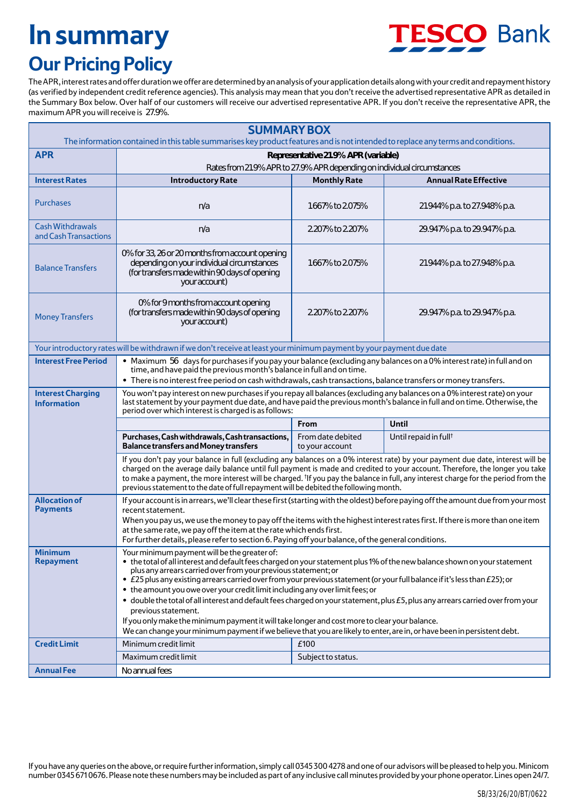## **In summary**



## **Our Pricing Policy**

The APR, interest rates and offer duration we offer are determined by an analysis of your application details along with your credit and repayment history (as verified by independent credit reference agencies). This analysis may mean that you don't receive the advertised representative APR as detailed in the Summary Box below. Over half of our customers will receive our advertised representative APR. If you don't receive the representative APR, the maximum APR you will receive is 27.9%.

|                                                  | <b>SUMMARY BOX</b><br>The information contained in this table summarises key product features and is not intended to replace any terms and conditions.                                                                                                                                                                                                                                                                                                                                                                                                                                                                                                                                                                                                                                                                                           |                                                                         |                                   |
|--------------------------------------------------|--------------------------------------------------------------------------------------------------------------------------------------------------------------------------------------------------------------------------------------------------------------------------------------------------------------------------------------------------------------------------------------------------------------------------------------------------------------------------------------------------------------------------------------------------------------------------------------------------------------------------------------------------------------------------------------------------------------------------------------------------------------------------------------------------------------------------------------------------|-------------------------------------------------------------------------|-----------------------------------|
| <b>APR</b>                                       | Representative 21.9% APR (variable)                                                                                                                                                                                                                                                                                                                                                                                                                                                                                                                                                                                                                                                                                                                                                                                                              |                                                                         |                                   |
|                                                  |                                                                                                                                                                                                                                                                                                                                                                                                                                                                                                                                                                                                                                                                                                                                                                                                                                                  | Rates from 21.9% APR to 27.9% APR depending on individual circumstances |                                   |
| <b>Interest Rates</b>                            | <b>Introductory Rate</b>                                                                                                                                                                                                                                                                                                                                                                                                                                                                                                                                                                                                                                                                                                                                                                                                                         | <b>Monthly Rate</b>                                                     | <b>Annual Rate Effective</b>      |
| <b>Purchases</b>                                 | n/a                                                                                                                                                                                                                                                                                                                                                                                                                                                                                                                                                                                                                                                                                                                                                                                                                                              | 1.667% to 2.075%                                                        | 21.944% p.a. to 27.948% p.a.      |
| <b>Cash Withdrawals</b><br>and Cash Transactions | n/a                                                                                                                                                                                                                                                                                                                                                                                                                                                                                                                                                                                                                                                                                                                                                                                                                                              | 2.207% to 2.207%                                                        | 29.947% p.a. to 29.947% p.a.      |
| <b>Balance Transfers</b>                         | 0% for 33, 26 or 20 months from account opening<br>depending on your individual circumstances<br>(for transfers made within 90 days of opening<br>your account)                                                                                                                                                                                                                                                                                                                                                                                                                                                                                                                                                                                                                                                                                  | 1.667% to 2.075%                                                        | 21.944% p.a. to 27.948% p.a.      |
| <b>Money Transfers</b>                           | 0% for 9 months from account opening<br>(for transfers made within 90 days of opening<br>your account)                                                                                                                                                                                                                                                                                                                                                                                                                                                                                                                                                                                                                                                                                                                                           | 2.207% to 2.207%                                                        | 29.947% p.a. to 29.947% p.a.      |
|                                                  | Your introductory rates will be withdrawn if we don't receive at least your minimum payment by your payment due date                                                                                                                                                                                                                                                                                                                                                                                                                                                                                                                                                                                                                                                                                                                             |                                                                         |                                   |
| <b>Interest Free Period</b>                      | · Maximum 56 days for purchases if you pay your balance (excluding any balances on a 0% interest rate) in full and on<br>time, and have paid the previous month's balance in full and on time.<br>. There is no interest free period on cash withdrawals, cash transactions, balance transfers or money transfers.                                                                                                                                                                                                                                                                                                                                                                                                                                                                                                                               |                                                                         |                                   |
| <b>Interest Charging</b><br><b>Information</b>   | You won't pay interest on new purchases if you repay all balances (excluding any balances on a 0% interest rate) on your<br>last statement by your payment due date, and have paid the previous month's balance in full and on time. Otherwise, the<br>period over which interest is charged is as follows:                                                                                                                                                                                                                                                                                                                                                                                                                                                                                                                                      |                                                                         |                                   |
|                                                  |                                                                                                                                                                                                                                                                                                                                                                                                                                                                                                                                                                                                                                                                                                                                                                                                                                                  | From                                                                    | Until                             |
|                                                  | Purchases, Cash withdrawals, Cash transactions,<br><b>Balance transfers and Money transfers</b>                                                                                                                                                                                                                                                                                                                                                                                                                                                                                                                                                                                                                                                                                                                                                  | From date debited<br>to your account                                    | Until repaid in full <sup>t</sup> |
|                                                  | If you don't pay your balance in full (excluding any balances on a 0% interest rate) by your payment due date, interest will be<br>charged on the average daily balance until full payment is made and credited to your account. Therefore, the longer you take<br>to make a payment, the more interest will be charged. <sup>†</sup> If you pay the balance in full, any interest charge for the period from the<br>previous statement to the date of full repayment will be debited the following month.                                                                                                                                                                                                                                                                                                                                       |                                                                         |                                   |
| <b>Allocation of</b><br><b>Payments</b>          | If your account is in arrears, we'll clear these first (starting with the oldest) before paying off the amount due from your most<br>recent statement.<br>When you pay us, we use the money to pay off the items with the highest interest rates first. If there is more than one item<br>at the same rate, we pay off the item at the rate which ends first.<br>For further details, please refer to section 6. Paying off your balance, of the general conditions.                                                                                                                                                                                                                                                                                                                                                                             |                                                                         |                                   |
| <b>Minimum</b><br><b>Repayment</b>               | Your minimum payment will be the greater of:<br>. the total of all interest and default fees charged on your statement plus 1% of the new balance shown on your statement<br>plus any arrears carried over from your previous statement; or<br>• £25 plus any existing arrears carried over from your previous statement (or your full balance if it's less than £25); or<br>• the amount you owe over your credit limit including any over limit fees; or<br>· double the total of all interest and default fees charged on your statement, plus £5, plus any arrears carried over from your<br>previous statement.<br>If you only make the minimum payment it will take longer and cost more to clear your balance.<br>We can change your minimum payment if we believe that you are likely to enter, are in, or have been in persistent debt. |                                                                         |                                   |
| <b>Credit Limit</b>                              | Minimum credit limit                                                                                                                                                                                                                                                                                                                                                                                                                                                                                                                                                                                                                                                                                                                                                                                                                             | £100                                                                    |                                   |
|                                                  | Maximum credit limit                                                                                                                                                                                                                                                                                                                                                                                                                                                                                                                                                                                                                                                                                                                                                                                                                             | Subject to status.                                                      |                                   |
| <b>Annual Fee</b>                                | No annual fees                                                                                                                                                                                                                                                                                                                                                                                                                                                                                                                                                                                                                                                                                                                                                                                                                                   |                                                                         |                                   |
|                                                  | If you have any queries on the above, or require further information, simply call 0345 300 4278 and one of our advisors will be pleased to help you. Minicom<br>number 0345 6710676. Please note these numbers may be included as part of any inclusive call minutes provided by your phone operator. Lines open 24/7.                                                                                                                                                                                                                                                                                                                                                                                                                                                                                                                           |                                                                         |                                   |
|                                                  |                                                                                                                                                                                                                                                                                                                                                                                                                                                                                                                                                                                                                                                                                                                                                                                                                                                  |                                                                         |                                   |
|                                                  |                                                                                                                                                                                                                                                                                                                                                                                                                                                                                                                                                                                                                                                                                                                                                                                                                                                  |                                                                         | SB/33/26/20/BT/0622               |